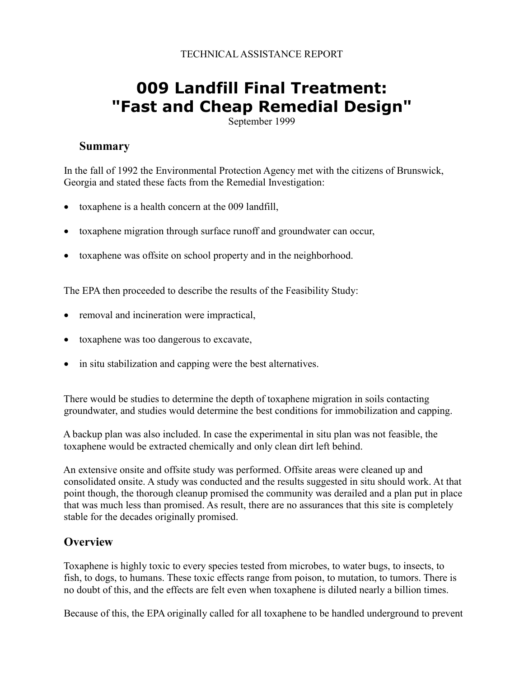# **009 Landfill Final Treatment: "Fast and Cheap Remedial Design"**

September 1999

#### **Summary**

 In the fall of 1992 the Environmental Protection Agency met with the citizens of Brunswick, Georgia and stated these facts from the Remedial Investigation:

- toxaphene is a health concern at the 009 landfill,
- toxaphene migration through surface runoff and groundwater can occur,
- toxaphene was offsite on school property and in the neighborhood.

The EPA then proceeded to describe the results of the Feasibility Study:

- removal and incineration were impractical,
- toxaphene was too dangerous to excavate,
- in situ stabilization and capping were the best alternatives.

 There would be studies to determine the depth of toxaphene migration in soils contacting groundwater, and studies would determine the best conditions for immobilization and capping.

 A backup plan was also included. In case the experimental in situ plan was not feasible, the toxaphene would be extracted chemically and only clean dirt left behind.

 An extensive onsite and offsite study was performed. Offsite areas were cleaned up and consolidated onsite. A study was conducted and the results suggested in situ should work. At that point though, the thorough cleanup promised the community was derailed and a plan put in place that was much less than promised. As result, there are no assurances that this site is completely stable for the decades originally promised.

#### **Overview**

 Toxaphene is highly toxic to every species tested from microbes, to water bugs, to insects, to fish, to dogs, to humans. These toxic effects range from poison, to mutation, to tumors. There is no doubt of this, and the effects are felt even when toxaphene is diluted nearly a billion times.

Because of this, the EPA originally called for all toxaphene to be handled underground to prevent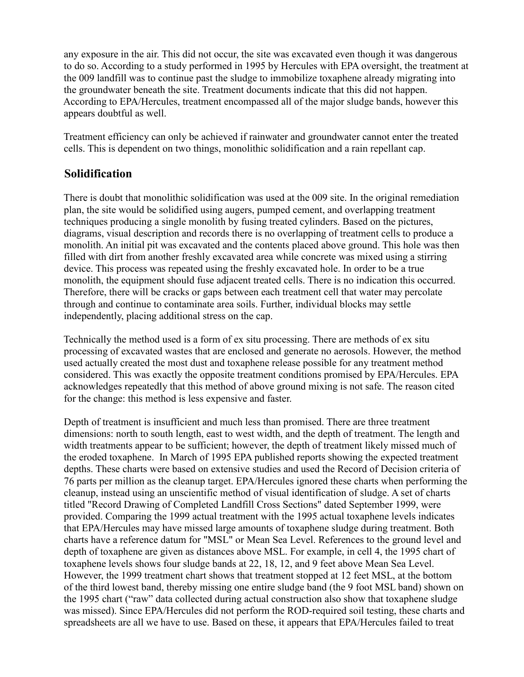any exposure in the air. This did not occur, the site was excavated even though it was dangerous to do so. According to a study performed in 1995 by Hercules with EPA oversight, the treatment at the 009 landfill was to continue past the sludge to immobilize toxaphene already migrating into the groundwater beneath the site. Treatment documents indicate that this did not happen. According to EPA/Hercules, treatment encompassed all of the major sludge bands, however this appears doubtful as well.

 Treatment efficiency can only be achieved if rainwater and groundwater cannot enter the treated cells. This is dependent on two things, monolithic solidification and a rain repellant cap.

#### **Solidification**

 There is doubt that monolithic solidification was used at the 009 site. In the original remediation plan, the site would be solidified using augers, pumped cement, and overlapping treatment techniques producing a single monolith by fusing treated cylinders. Based on the pictures, diagrams, visual description and records there is no overlapping of treatment cells to produce a monolith. An initial pit was excavated and the contents placed above ground. This hole was then filled with dirt from another freshly excavated area while concrete was mixed using a stirring device. This process was repeated using the freshly excavated hole. In order to be a true monolith, the equipment should fuse adjacent treated cells. There is no indication this occurred. Therefore, there will be cracks or gaps between each treatment cell that water may percolate through and continue to contaminate area soils. Further, individual blocks may settle independently, placing additional stress on the cap.

 Technically the method used is a form of ex situ processing. There are methods of ex situ processing of excavated wastes that are enclosed and generate no aerosols. However, the method used actually created the most dust and toxaphene release possible for any treatment method considered. This was exactly the opposite treatment conditions promised by EPA/Hercules. EPA acknowledges repeatedly that this method of above ground mixing is not safe. The reason cited for the change: this method is less expensive and faster.

 Depth of treatment is insufficient and much less than promised. There are three treatment dimensions: north to south length, east to west width, and the depth of treatment. The length and width treatments appear to be sufficient; however, the depth of treatment likely missed much of the eroded toxaphene. In March of 1995 EPA published reports showing the expected treatment depths. These charts were based on extensive studies and used the Record of Decision criteria of 76 parts per million as the cleanup target. EPA/Hercules ignored these charts when performing the cleanup, instead using an unscientific method of visual identification of sludge. A set of charts titled "Record Drawing of Completed Landfill Cross Sections" dated September 1999, were provided. Comparing the 1999 actual treatment with the 1995 actual toxaphene levels indicates that EPA/Hercules may have missed large amounts of toxaphene sludge during treatment. Both charts have a reference datum for "MSL" or Mean Sea Level. References to the ground level and depth of toxaphene are given as distances above MSL. For example, in cell 4, the 1995 chart of toxaphene levels shows four sludge bands at 22, 18, 12, and 9 feet above Mean Sea Level. However, the 1999 treatment chart shows that treatment stopped at 12 feet MSL, at the bottom of the third lowest band, thereby missing one entire sludge band (the 9 foot MSL band) shown on the 1995 chart ("raw" data collected during actual construction also show that toxaphene sludge was missed). Since EPA/Hercules did not perform the ROD-required soil testing, these charts and spreadsheets are all we have to use. Based on these, it appears that EPA/Hercules failed to treat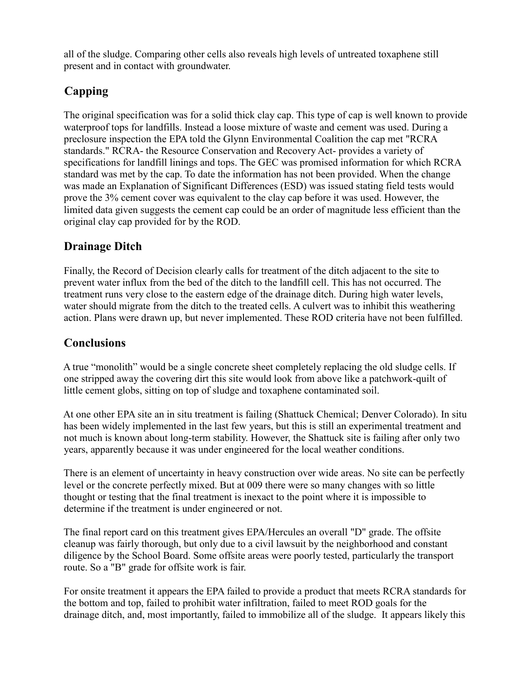all of the sludge. Comparing other cells also reveals high levels of untreated toxaphene still present and in contact with groundwater.

## **Capping**

 The original specification was for a solid thick clay cap. This type of cap is well known to provide waterproof tops for landfills. Instead a loose mixture of waste and cement was used. During a preclosure inspection the EPA told the Glynn Environmental Coalition the cap met "RCRA standards." RCRA- the Resource Conservation and Recovery Act- provides a variety of specifications for landfill linings and tops. The GEC was promised information for which RCRA standard was met by the cap. To date the information has not been provided. When the change was made an Explanation of Significant Differences (ESD) was issued stating field tests would prove the 3% cement cover was equivalent to the clay cap before it was used. However, the limited data given suggests the cement cap could be an order of magnitude less efficient than the original clay cap provided for by the ROD.

## **Drainage Ditch**

 Finally, the Record of Decision clearly calls for treatment of the ditch adjacent to the site to prevent water influx from the bed of the ditch to the landfill cell. This has not occurred. The treatment runs very close to the eastern edge of the drainage ditch. During high water levels, water should migrate from the ditch to the treated cells. A culvert was to inhibit this weathering action. Plans were drawn up, but never implemented. These ROD criteria have not been fulfilled.

### **Conclusions**

 A true "monolith" would be a single concrete sheet completely replacing the old sludge cells. If one stripped away the covering dirt this site would look from above like a patchwork-quilt of little cement globs, sitting on top of sludge and toxaphene contaminated soil.

 At one other EPA site an in situ treatment is failing (Shattuck Chemical; Denver Colorado). In situ has been widely implemented in the last few years, but this is still an experimental treatment and not much is known about long-term stability. However, the Shattuck site is failing after only two years, apparently because it was under engineered for the local weather conditions.

 There is an element of uncertainty in heavy construction over wide areas. No site can be perfectly level or the concrete perfectly mixed. But at 009 there were so many changes with so little thought or testing that the final treatment is inexact to the point where it is impossible to determine if the treatment is under engineered or not.

 The final report card on this treatment gives EPA/Hercules an overall "D" grade. The offsite cleanup was fairly thorough, but only due to a civil lawsuit by the neighborhood and constant diligence by the School Board. Some offsite areas were poorly tested, particularly the transport route. So a "B" grade for offsite work is fair.

 For onsite treatment it appears the EPA failed to provide a product that meets RCRA standards for the bottom and top, failed to prohibit water infiltration, failed to meet ROD goals for the drainage ditch, and, most importantly, failed to immobilize all of the sludge. It appears likely this